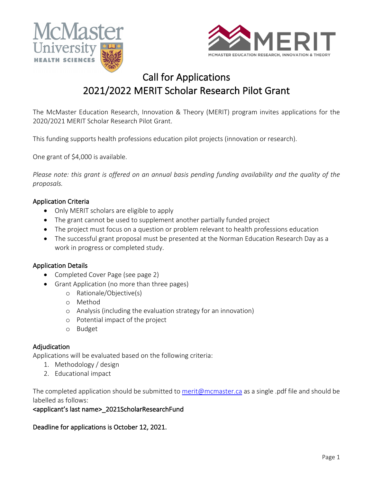



# Call for Applications 2021/2022 MERIT Scholar Research Pilot Grant

The McMaster Education Research, Innovation & Theory (MERIT) program invites applications for the 2020/2021 MERIT Scholar Research Pilot Grant.

This funding supports health professions education pilot projects (innovation or research).

One grant of \$4,000 is available.

*Please note: this grant is offered on an annual basis pending funding availability and the quality of the proposals.* 

## Application Criteria

- Only MERIT scholars are eligible to apply
- The grant cannot be used to supplement another partially funded project
- The project must focus on a question or problem relevant to health professions education
- The successful grant proposal must be presented at the Norman Education Research Day as a work in progress or completed study.

## Application Details

- Completed Cover Page (see page 2)
- Grant Application (no more than three pages)
	- o Rationale/Objective(s)
	- o Method
	- o Analysis (including the evaluation strategy for an innovation)
	- o Potential impact of the project
	- o Budget

#### Adjudication

Applications will be evaluated based on the following criteria:

- 1. Methodology / design
- 2. Educational impact

The completed application should be submitted to merit@mcmaster.ca as a single .pdf file and should be labelled as follows:

#### <applicant's last name>\_2021ScholarResearchFund

Deadline for applications is October 12, 2021.